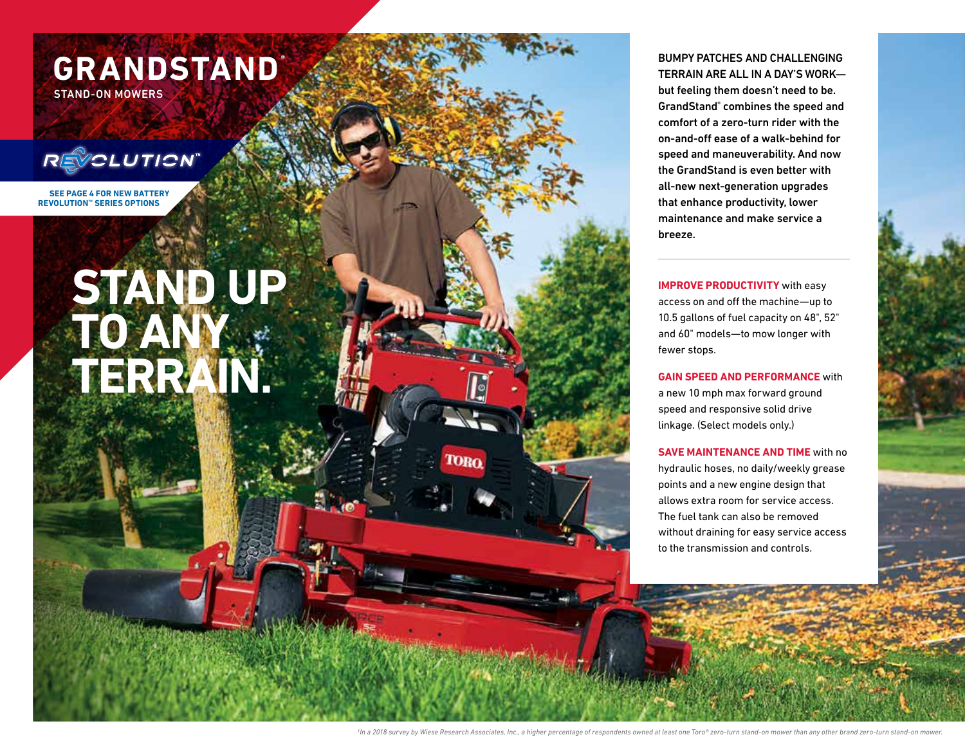

## BUMPY PATCHES AND CHALLENGING TERRAIN ARE ALL IN A DAY'S WORK—

but feeling them doesn't need to be. GrandStand ® combines the speed and comfort of a zero-turn rider with the on-and-off ease of a walk-behind for speed and maneuverability. And now the GrandStand is even better with all-new next-generation upgrades that enhance productivity, lower maintenance and make service a breeze.

**IMPROVE PRODUCTIVITY** with easy access on and off the machine—up to 10.5 gallons of fuel capacity on 48", 52" and 60" models—to mow longer with fewer stops.

**GAIN SPEED AND PERFORMANCE** with a new 10 mph max forward ground speed and responsive solid drive linkage. (Select models only.)

**SAVE MAINTENANCE AND TIME** with no hydraulic hoses, no daily/weekly grease points and a new engine design that allows extra room for service access. The fuel tank can also be removed without draining for easy service access to the transmission and controls.